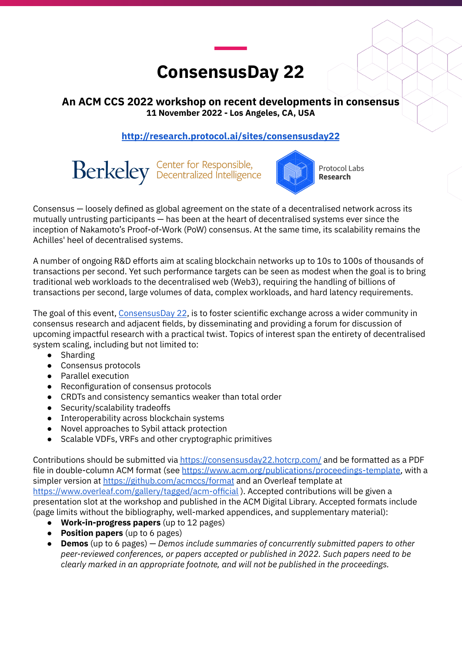# **ConsensusDay 22**

## **An ACM CCS 2022 workshop on recent developments in consensus 11 November 2022 - Los Angeles, CA, USA**

## **<http://research.protocol.ai/sites/consensusday22>**

Berkeley Center for Responsible,



Protocol Labs **Research** 

Consensus — loosely defined as global agreement on the state of a decentralised network across its mutually untrusting participants — has been at the heart of decentralised systems ever since the inception of Nakamoto's Proof-of-Work (PoW) consensus. At the same time, its scalability remains the Achilles' heel of decentralised systems.

A number of ongoing R&D efforts aim at scaling blockchain networks up to 10s to 100s of thousands of transactions per second. Yet such performance targets can be seen as modest when the goal is to bring traditional web workloads to the decentralised web (Web3), requiring the handling of billions of transactions per second, large volumes of data, complex workloads, and hard latency requirements.

The goal of this event, [ConsensusDay](http://research.protocol.ai/sites/consensusday22) 22, is to foster scientific exchange across a wider community in consensus research and adjacent fields, by disseminating and providing a forum for discussion of upcoming impactful research with a practical twist. Topics of interest span the entirety of decentralised system scaling, including but not limited to:

- Sharding
- Consensus protocols
- Parallel execution
- Reconfiguration of consensus protocols
- CRDTs and consistency semantics weaker than total order
- Security/scalability tradeoffs
- Interoperability across blockchain systems
- Novel approaches to Sybil attack protection
- Scalable VDFs, VRFs and other cryptographic primitives

Contributions should be submitted via <https://consensusday22.hotcrp.com/> and be formatted as a PDF file in double-column ACM format (see [https://www.acm.org/publications/proceedings-template,](https://www.acm.org/publications/proceedings-template) with a simpler version at <https://github.com/acmccs/format> and an Overleaf template at <https://www.overleaf.com/gallery/tagged/acm-official> ). Accepted contributions will be given a presentation slot at the workshop and published in the ACM Digital Library. Accepted formats include (page limits without the bibliography, well-marked appendices, and supplementary material):

- **Work-in-progress papers** (up to 12 pages)
- **Position papers** (up to 6 pages)
- **Demos** (up to 6 pages) *Demos include summaries of concurrently submitted papers to other peer-reviewed conferences, or papers accepted or published in 2022. Such papers need to be clearly marked in an appropriate footnote, and will not be published in the proceedings.*